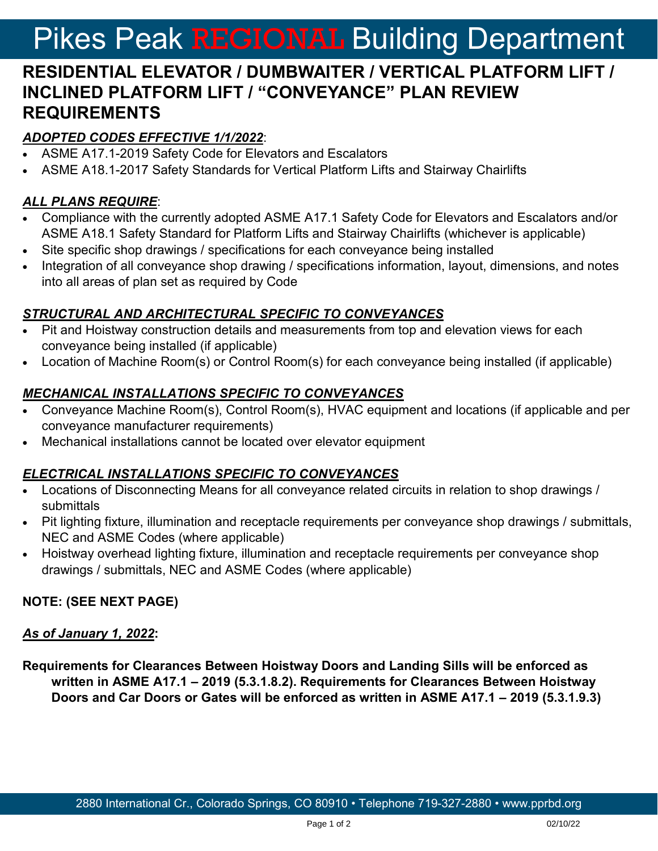# Pikes Peak REGIONAL Building Department

# **RESIDENTIAL ELEVATOR / DUMBWAITER / VERTICAL PLATFORM LIFT / INCLINED PLATFORM LIFT / "CONVEYANCE" PLAN REVIEW REQUIREMENTS**

### *ADOPTED CODES EFFECTIVE 1/1/2022*:

- ASME A17.1-2019 Safety Code for Elevators and Escalators
- ASME A18.1-2017 Safety Standards for Vertical Platform Lifts and Stairway Chairlifts

## *ALL PLANS REQUIRE*:

- Compliance with the currently adopted ASME A17.1 Safety Code for Elevators and Escalators and/or ASME A18.1 Safety Standard for Platform Lifts and Stairway Chairlifts (whichever is applicable)
- Site specific shop drawings / specifications for each conveyance being installed
- Integration of all conveyance shop drawing / specifications information, layout, dimensions, and notes into all areas of plan set as required by Code

#### *STRUCTURAL AND ARCHITECTURAL SPECIFIC TO CONVEYANCES*

- Pit and Hoistway construction details and measurements from top and elevation views for each conveyance being installed (if applicable)
- Location of Machine Room(s) or Control Room(s) for each conveyance being installed (if applicable)

#### *MECHANICAL INSTALLATIONS SPECIFIC TO CONVEYANCES*

- Conveyance Machine Room(s), Control Room(s), HVAC equipment and locations (if applicable and per conveyance manufacturer requirements)
- Mechanical installations cannot be located over elevator equipment

#### *ELECTRICAL INSTALLATIONS SPECIFIC TO CONVEYANCES*

- Locations of Disconnecting Means for all conveyance related circuits in relation to shop drawings / submittals
- Pit lighting fixture, illumination and receptacle requirements per conveyance shop drawings / submittals, NEC and ASME Codes (where applicable)
- Hoistway overhead lighting fixture, illumination and receptacle requirements per conveyance shop drawings / submittals, NEC and ASME Codes (where applicable)

#### **NOTE: (SEE NEXT PAGE)**

#### *As of January 1, 2022***:**

**Requirements for Clearances Between Hoistway Doors and Landing Sills will be enforced as written in ASME A17.1 – 2019 (5.3.1.8.2). Requirements for Clearances Between Hoistway Doors and Car Doors or Gates will be enforced as written in ASME A17.1 – 2019 (5.3.1.9.3)**